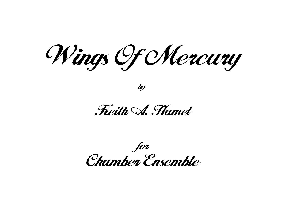Wings Of Mercury

by

Keith A. Hamel

for Chamber Ensemble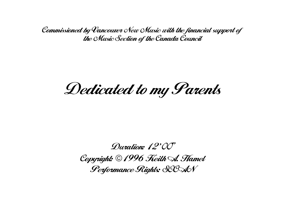Commissioned by Vancouver New Music with the financial support of the Music Section of the Canada Council

Dedicated to my Parents

Duration: 12' 00" Copyright: 01996 Keith A. Hamel Performance Rights: SOCAN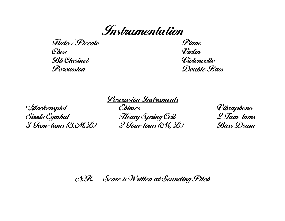Instrumentation

Flute / Piccolo Piano Oboe Violin Bb Clarinet Violoncello Percussion Double Bass

Percussion Instruments Stockenspiel Chimes Chimes Vibraphone Sizzle Cymbal Heavy Spring Coil 2 Tam-tams  $3$  Tam-tams (S,CM,L)  $2$  Tom-toms (CM, L)

N.B. Score is Written at Sounding Pitch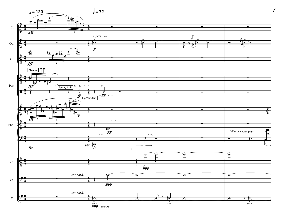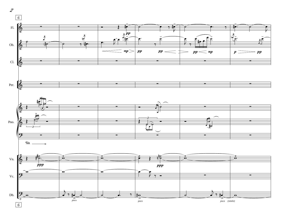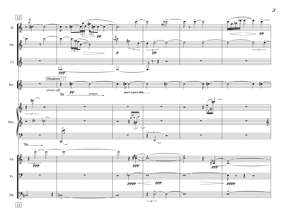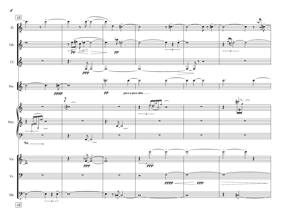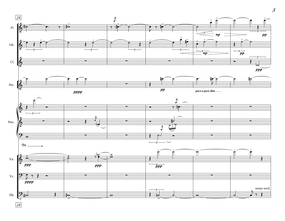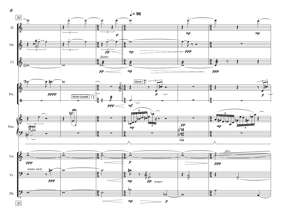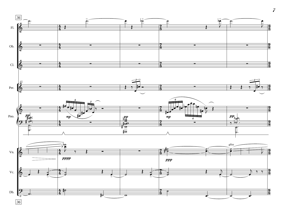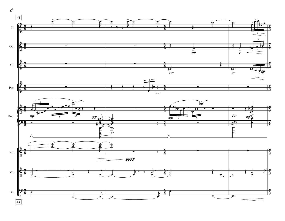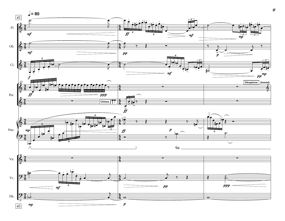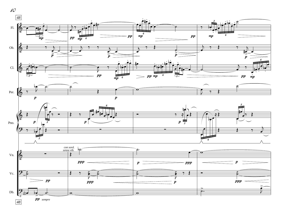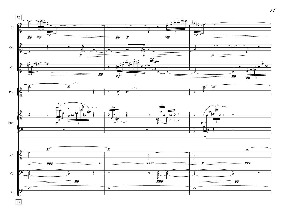

 $\overline{\mathcal{U}}$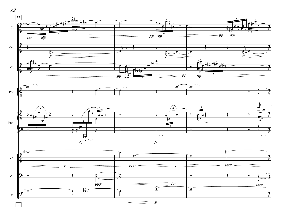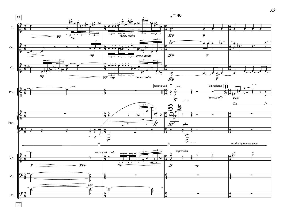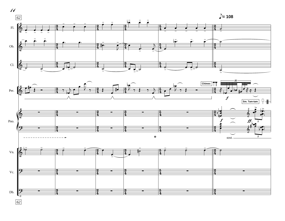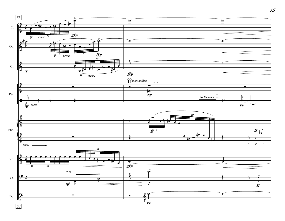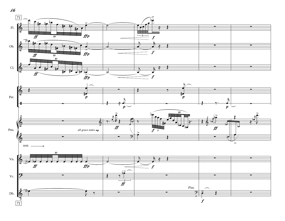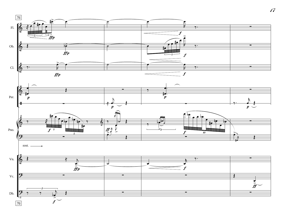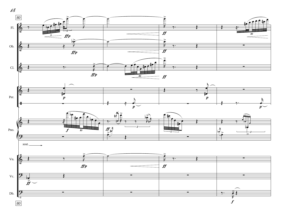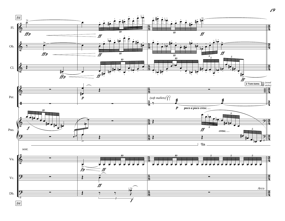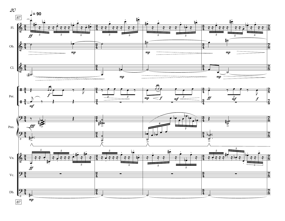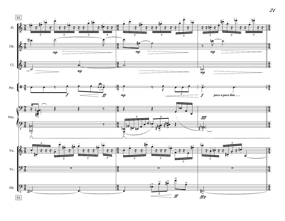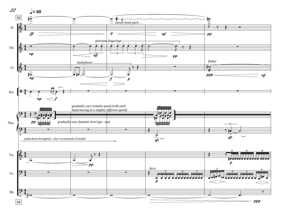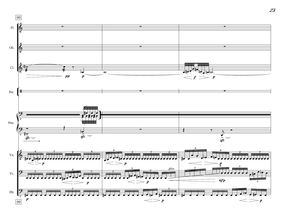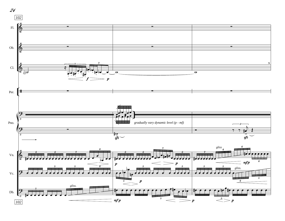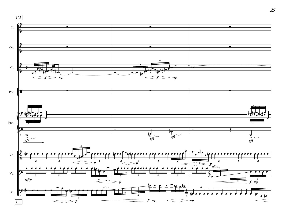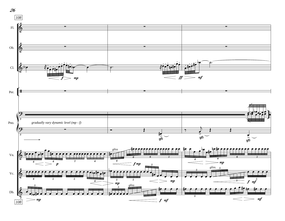![](_page_29_Figure_0.jpeg)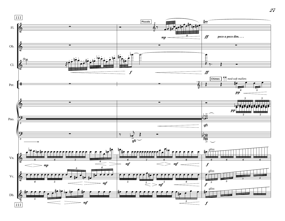![](_page_30_Figure_0.jpeg)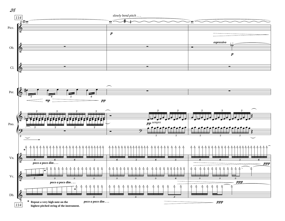![](_page_31_Figure_0.jpeg)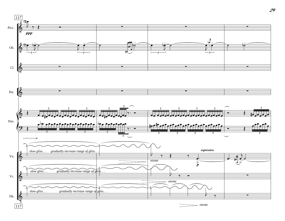![](_page_32_Figure_0.jpeg)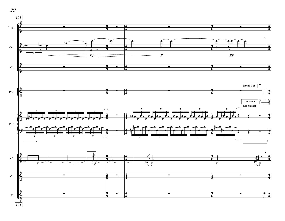![](_page_33_Figure_0.jpeg)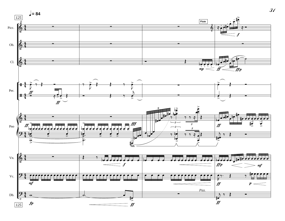![](_page_34_Figure_0.jpeg)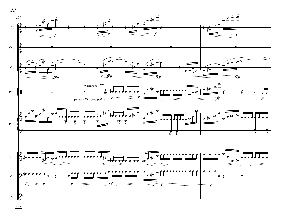![](_page_35_Figure_0.jpeg)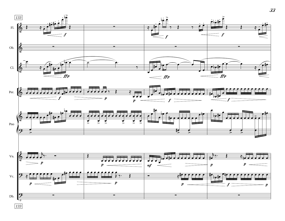![](_page_36_Figure_0.jpeg)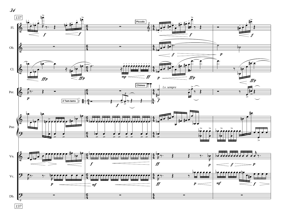![](_page_37_Figure_0.jpeg)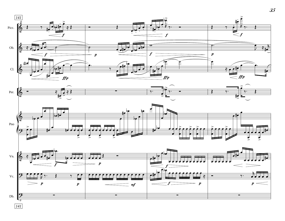![](_page_38_Figure_0.jpeg)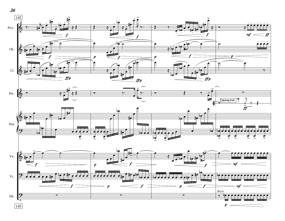![](_page_39_Figure_0.jpeg)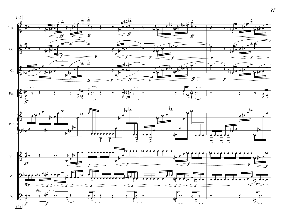![](_page_40_Figure_0.jpeg)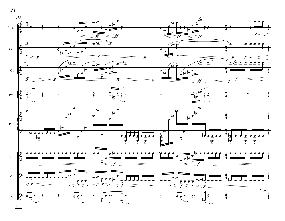![](_page_41_Figure_0.jpeg)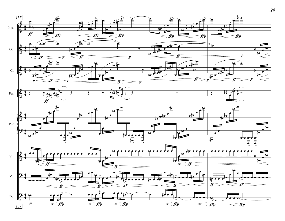![](_page_42_Figure_0.jpeg)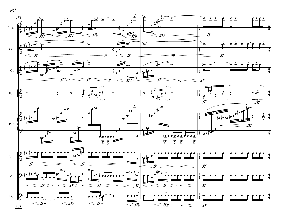![](_page_43_Figure_0.jpeg)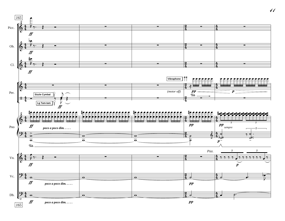![](_page_44_Figure_0.jpeg)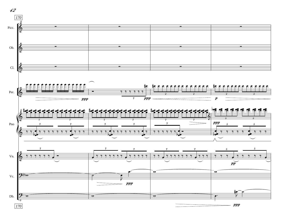![](_page_45_Figure_0.jpeg)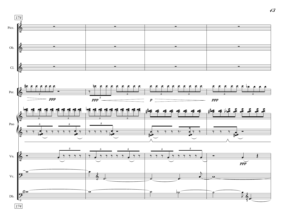![](_page_46_Figure_0.jpeg)

 $\overline{13}$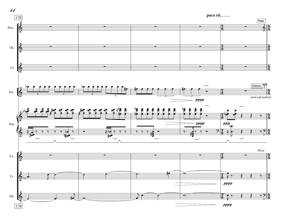![](_page_47_Figure_0.jpeg)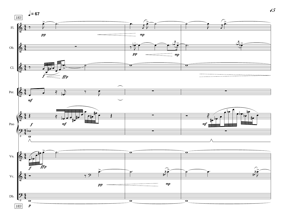![](_page_48_Figure_0.jpeg)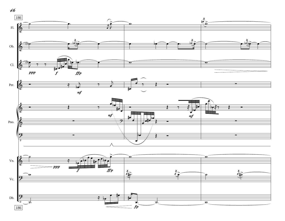![](_page_49_Figure_0.jpeg)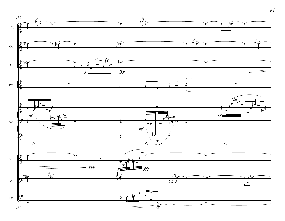![](_page_50_Figure_0.jpeg)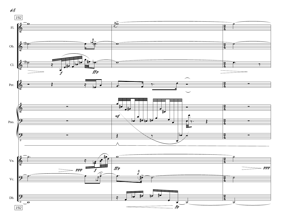![](_page_51_Figure_0.jpeg)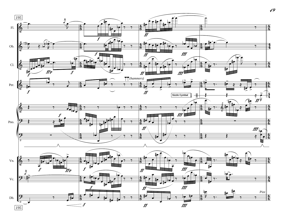![](_page_52_Figure_0.jpeg)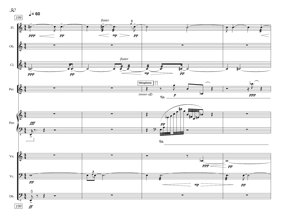![](_page_53_Figure_0.jpeg)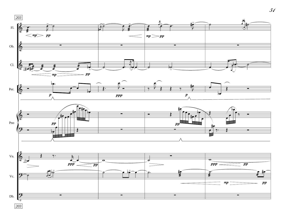![](_page_54_Figure_0.jpeg)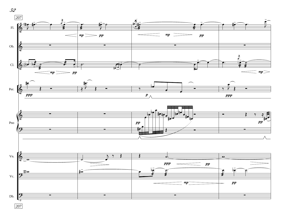![](_page_55_Figure_0.jpeg)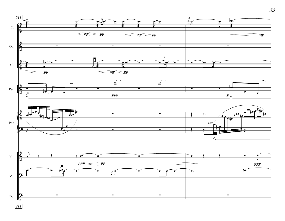![](_page_56_Figure_0.jpeg)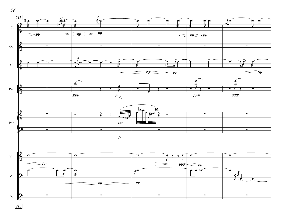![](_page_57_Figure_0.jpeg)